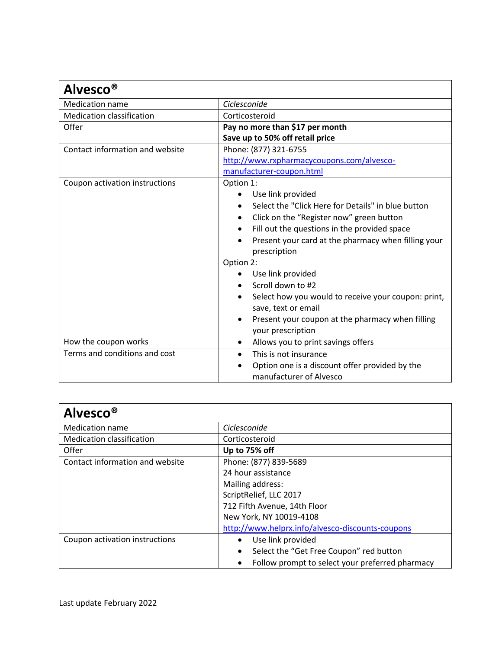| <b>Alvesco<sup>®</sup></b>       |                                                                                        |
|----------------------------------|----------------------------------------------------------------------------------------|
| <b>Medication name</b>           | Ciclesconide                                                                           |
| <b>Medication classification</b> | Corticosteroid                                                                         |
| Offer                            | Pay no more than \$17 per month                                                        |
|                                  | Save up to 50% off retail price                                                        |
| Contact information and website  | Phone: (877) 321-6755                                                                  |
|                                  | http://www.rxpharmacycoupons.com/alvesco-                                              |
|                                  | manufacturer-coupon.html                                                               |
| Coupon activation instructions   | Option 1:<br>Use link provided                                                         |
|                                  | Select the "Click Here for Details" in blue button                                     |
|                                  | Click on the "Register now" green button<br>$\bullet$                                  |
|                                  | Fill out the questions in the provided space                                           |
|                                  | Present your card at the pharmacy when filling your<br>$\bullet$                       |
|                                  | prescription                                                                           |
|                                  | Option 2:                                                                              |
|                                  | Use link provided                                                                      |
|                                  | Scroll down to #2                                                                      |
|                                  | Select how you would to receive your coupon: print,<br>$\bullet$                       |
|                                  | save, text or email                                                                    |
|                                  | Present your coupon at the pharmacy when filling                                       |
|                                  | your prescription                                                                      |
| How the coupon works             | Allows you to print savings offers<br>$\bullet$                                        |
| Terms and conditions and cost    | This is not insurance<br>$\bullet$                                                     |
|                                  | Option one is a discount offer provided by the<br>$\bullet$<br>manufacturer of Alvesco |

| Alvesco <sup>®</sup>             |                                                      |
|----------------------------------|------------------------------------------------------|
| <b>Medication name</b>           | Ciclesconide                                         |
| <b>Medication classification</b> | Corticosteroid                                       |
| Offer                            | Up to 75% off                                        |
| Contact information and website  | Phone: (877) 839-5689                                |
|                                  | 24 hour assistance                                   |
|                                  | Mailing address:                                     |
|                                  | ScriptRelief, LLC 2017                               |
|                                  | 712 Fifth Avenue, 14th Floor                         |
|                                  | New York, NY 10019-4108                              |
|                                  | http://www.helprx.info/alvesco-discounts-coupons     |
| Coupon activation instructions   | Use link provided                                    |
|                                  | Select the "Get Free Coupon" red button<br>$\bullet$ |
|                                  | Follow prompt to select your preferred pharmacy      |